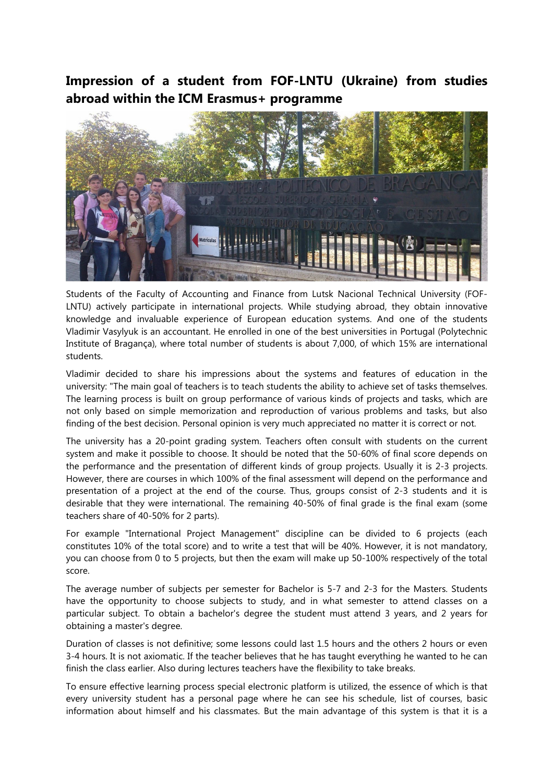## **Impression of a student from FOF-LNTU (Ukraine) from studies abroad within the ICM Erasmus+ programme**



Students of the Faculty of Accounting and Finance from Lutsk Nacional Technical University (FOF-LNTU) actively participate in international projects. While studying abroad, they obtain innovative knowledge and invaluable experience of European education systems. And one of the students Vladimir Vasylyuk is an accountant. He enrolled in one of the best universities in Portugal (Polytechnic Institute of Bragança), where total number of students is about 7,000, of which 15% are international students.

Vladimir decided to share his impressions about the systems and features of education in the university: "The main goal of teachers is to teach students the ability to achieve set of tasks themselves. The learning process is built on group performance of various kinds of projects and tasks, which are not only based on simple memorization and reproduction of various problems and tasks, but also finding of the best decision. Personal opinion is very much appreciated no matter it is correct or not.

The university has a 20-point grading system. Teachers often consult with students on the current system and make it possible to choose. It should be noted that the 50-60% of final score depends on the performance and the presentation of different kinds of group projects. Usually it is 2-3 projects. However, there are courses in which 100% of the final assessment will depend on the performance and presentation of a project at the end of the course. Thus, groups consist of 2-3 students and it is desirable that they were international. The remaining 40-50% of final grade is the final exam (some teachers share of 40-50% for 2 parts).

For example "International Project Management" discipline can be divided to 6 projects (each constitutes 10% of the total score) and to write a test that will be 40%. However, it is not mandatory, you can choose from 0 to 5 projects, but then the exam will make up 50-100% respectively of the total score.

The average number of subjects per semester for Bachelor is 5-7 and 2-3 for the Masters. Students have the opportunity to choose subjects to study, and in what semester to attend classes on a particular subject. To obtain a bachelor's degree the student must attend 3 years, and 2 years for obtaining a master's degree.

Duration of classes is not definitive; some lessons could last 1.5 hours and the others 2 hours or even 3-4 hours. It is not axiomatic. If the teacher believes that he has taught everything he wanted to he can finish the class earlier. Also during lectures teachers have the flexibility to take breaks.

To ensure effective learning process special electronic platform is utilized, the essence of which is that every university student has a personal page where he can see his schedule, list of courses, basic information about himself and his classmates. But the main advantage of this system is that it is a